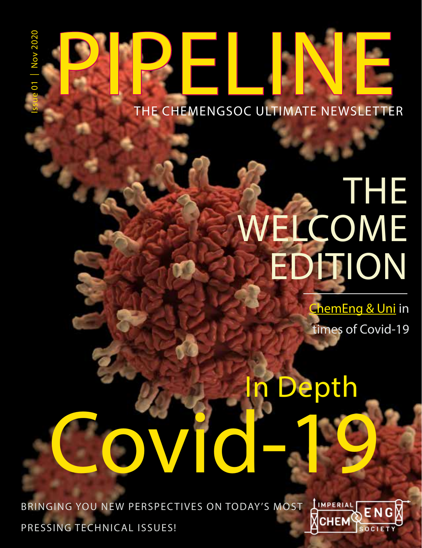# **PIPELINE**

# THE WELCOME **EDITION**

ChemEng & Uni in times of Covid-19

# Covid-19 Depth

BRINGING YOU NEW PERSPECTIVES ON TODAY'S MOST LIMPERIAL PRESSING TECHNICAL ISSUES!

| Issue 01 Nov 2020

**Nov 2020** 

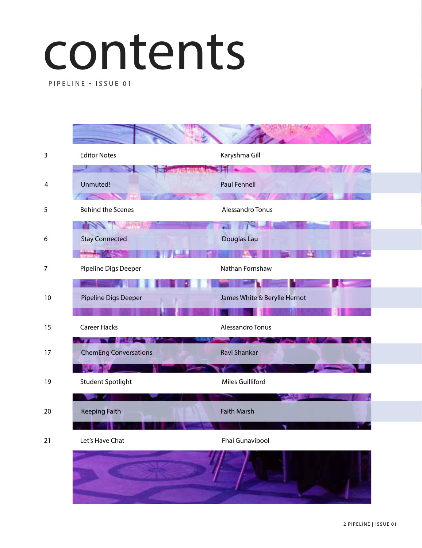# contents

PIPELINE - ISSUE 01

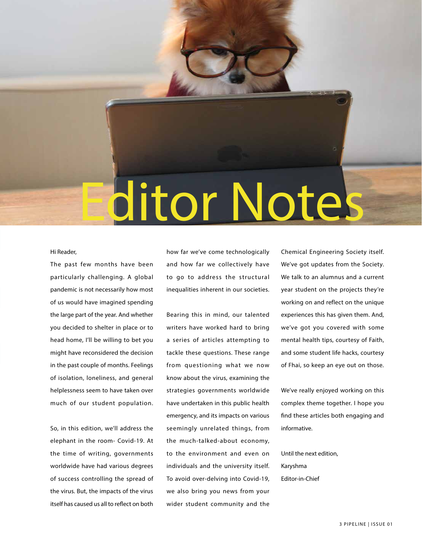

### Hi Reader,

The past few months have been particularly challenging. A global pandemic is not necessarily how most of us would have imagined spending the large part of the year. And whether you decided to shelter in place or to head home, I'll be willing to bet you might have reconsidered the decision in the past couple of months. Feelings of isolation, loneliness, and general helplessness seem to have taken over much of our student population.

So, in this edition, we'll address the elephant in the room- Covid-19. At the time of writing, governments worldwide have had various degrees of success controlling the spread of the virus. But, the impacts of the virus itself has caused us all to reflect on both

how far we've come technologically and how far we collectively have to go to address the structural inequalities inherent in our societies.

Bearing this in mind, our talented writers have worked hard to bring a series of articles attempting to tackle these questions. These range from questioning what we now know about the virus, examining the strategies governments worldwide have undertaken in this public health emergency, and its impacts on various seemingly unrelated things, from the much-talked-about economy, to the environment and even on individuals and the university itself. To avoid over-delving into Covid-19, we also bring you news from your wider student community and the

Chemical Engineering Society itself. We've got updates from the Society. We talk to an alumnus and a current year student on the projects they're working on and reflect on the unique experiences this has given them. And, we've got you covered with some mental health tips, courtesy of Faith, and some student life hacks, courtesy of Fhai, so keep an eye out on those.

We've really enjoyed working on this complex theme together. I hope you find these articles both engaging and informative.

Until the next edition, Karyshma Editor-in-Chief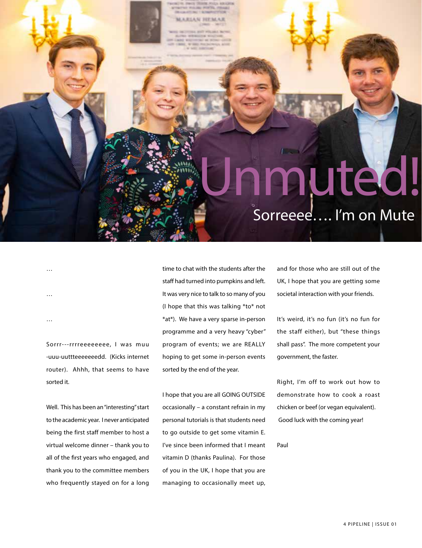# Sorreeee…. I'm on Mute nuted!

… …

…

Sorrr---rrrreeeeeeee, I was muu -uuu-uuttteeeeeeedd. (Kicks internet router). Ahhh, that seems to have sorted it.

Well. This has been an "interesting" start to the academic year. I never anticipated being the first staff member to host a virtual welcome dinner – thank you to all of the first years who engaged, and thank you to the committee members who frequently stayed on for a long time to chat with the students after the staff had turned into pumpkins and left. It was very nice to talk to so many of you (I hope that this was talking \*to\* not \*at\*). We have a very sparse in-person programme and a very heavy "cyber" program of events; we are REALLY hoping to get some in-person events sorted by the end of the year.

*ARTAN SEPARAR* 

I hope that you are all GOING OUTSIDE occasionally – a constant refrain in my personal tutorials is that students need to go outside to get some vitamin E. I've since been informed that I meant vitamin D (thanks Paulina). For those of you in the UK, I hope that you are managing to occasionally meet up,

and for those who are still out of the UK, I hope that you are getting some societal interaction with your friends.

It's weird, it's no fun (it's no fun for the staff either), but "these things shall pass". The more competent your government, the faster.

Right, I'm off to work out how to demonstrate how to cook a roast chicken or beef (or vegan equivalent). Good luck with the coming year!

Paul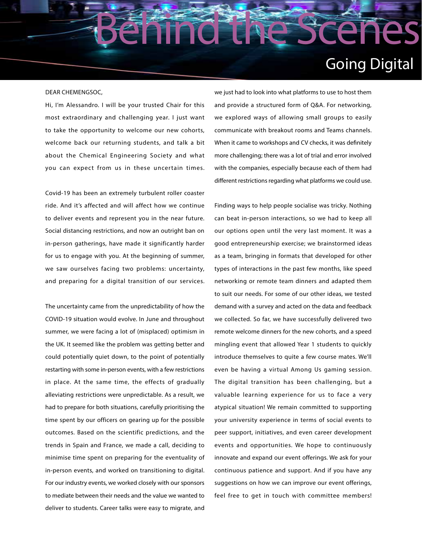## Going Digital

#### DEAR CHEMENGSOC,

Hi, I'm Alessandro. I will be your trusted Chair for this most extraordinary and challenging year. I just want to take the opportunity to welcome our new cohorts, welcome back our returning students, and talk a bit about the Chemical Engineering Society and what you can expect from us in these uncertain times.

Covid-19 has been an extremely turbulent roller coaster ride. And it's affected and will affect how we continue to deliver events and represent you in the near future. Social distancing restrictions, and now an outright ban on in-person gatherings, have made it significantly harder for us to engage with you. At the beginning of summer, we saw ourselves facing two problems: uncertainty, and preparing for a digital transition of our services.

The uncertainty came from the unpredictability of how the COVID-19 situation would evolve. In June and throughout summer, we were facing a lot of (misplaced) optimism in the UK. It seemed like the problem was getting better and could potentially quiet down, to the point of potentially restarting with some in-person events, with a few restrictions in place. At the same time, the effects of gradually alleviating restrictions were unpredictable. As a result, we had to prepare for both situations, carefully prioritising the time spent by our officers on gearing up for the possible outcomes. Based on the scientific predictions, and the trends in Spain and France, we made a call, deciding to minimise time spent on preparing for the eventuality of in-person events, and worked on transitioning to digital. For our industry events, we worked closely with our sponsors to mediate between their needs and the value we wanted to deliver to students. Career talks were easy to migrate, and we just had to look into what platforms to use to host them and provide a structured form of Q&A. For networking, we explored ways of allowing small groups to easily communicate with breakout rooms and Teams channels. When it came to workshops and CV checks, it was definitely more challenging; there was a lot of trial and error involved with the companies, especially because each of them had different restrictions regarding what platforms we could use.

Behind the Scenes

Finding ways to help people socialise was tricky. Nothing can beat in-person interactions, so we had to keep all our options open until the very last moment. It was a good entrepreneurship exercise; we brainstormed ideas as a team, bringing in formats that developed for other types of interactions in the past few months, like speed networking or remote team dinners and adapted them to suit our needs. For some of our other ideas, we tested demand with a survey and acted on the data and feedback we collected. So far, we have successfully delivered two remote welcome dinners for the new cohorts, and a speed mingling event that allowed Year 1 students to quickly introduce themselves to quite a few course mates. We'll even be having a virtual Among Us gaming session. The digital transition has been challenging, but a valuable learning experience for us to face a very atypical situation! We remain committed to supporting your university experience in terms of social events to peer support, initiatives, and even career development events and opportunities. We hope to continuously innovate and expand our event offerings. We ask for your continuous patience and support. And if you have any suggestions on how we can improve our event offerings, feel free to get in touch with committee members!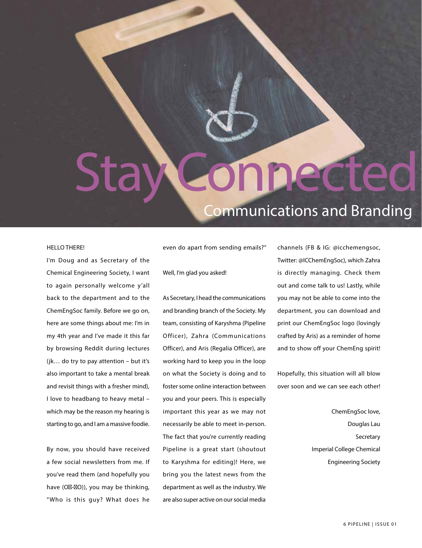# Stay Connected

### Communications and Branding

#### HELLO THERE!

I'm Doug and as Secretary of the Chemical Engineering Society, I want to again personally welcome y'all back to the department and to the ChemEngSoc family. Before we go on, here are some things about me: I'm in my 4th year and I've made it this far by browsing Reddit during lectures (jk… do try to pay attention – but it's also important to take a mental break and revisit things with a fresher mind), I love to headbang to heavy metal – which may be the reason my hearing is starting to go, and I am a massive foodie.

By now, you should have received a few social newsletters from me. If you've read them (and hopefully you have (O - O)), you may be thinking, "Who is this guy? What does he even do apart from sending emails?"

Well, I'm glad you asked!

As Secretary, I head the communications and branding branch of the Society. My team, consisting of Karyshma (Pipeline Officer), Zahra (Communications Officer), and Aris (Regalia Officer), are working hard to keep you in the loop on what the Society is doing and to foster some online interaction between you and your peers. This is especially important this year as we may not necessarily be able to meet in-person. The fact that you're currently reading Pipeline is a great start (shoutout to Karyshma for editing)! Here, we bring you the latest news from the department as well as the industry. We are also super active on our social media

channels (FB & IG: @icchemengsoc, Twitter: @ICChemEngSoc), which Zahra is directly managing. Check them out and come talk to us! Lastly, while you may not be able to come into the department, you can download and print our ChemEngSoc logo (lovingly crafted by Aris) as a reminder of home and to show off your ChemEng spirit!

Hopefully, this situation will all blow over soon and we can see each other!

> ChemEngSoc love, Douglas Lau **Secretary** Imperial College Chemical Engineering Society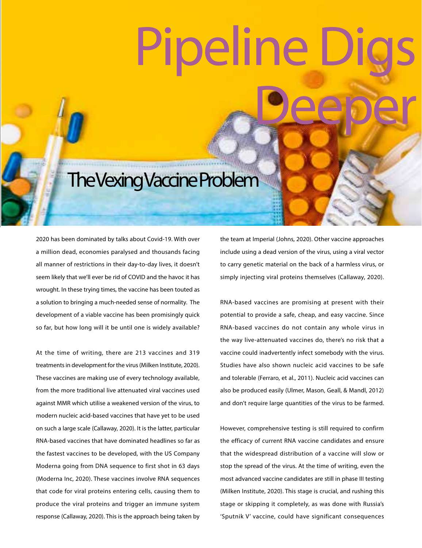# Pipeline Deeper

# The Vexing Vaccine Problem

2020 has been dominated by talks about Covid-19. With over a million dead, economies paralysed and thousands facing all manner of restrictions in their day-to-day lives, it doesn't seem likely that we'll ever be rid of COVID and the havoc it has wrought. In these trying times, the vaccine has been touted as a solution to bringing a much-needed sense of normality. The development of a viable vaccine has been promisingly quick so far, but how long will it be until one is widely available?

At the time of writing, there are 213 vaccines and 319 treatments in development for the virus (Milken Institute, 2020). These vaccines are making use of every technology available, from the more traditional live attenuated viral vaccines used against MMR which utilise a weakened version of the virus, to modern nucleic acid-based vaccines that have yet to be used on such a large scale (Callaway, 2020). It is the latter, particular RNA-based vaccines that have dominated headlines so far as the fastest vaccines to be developed, with the US Company Moderna going from DNA sequence to first shot in 63 days (Moderna Inc, 2020). These vaccines involve RNA sequences that code for viral proteins entering cells, causing them to produce the viral proteins and trigger an immune system response (Callaway, 2020). This is the approach being taken by the team at Imperial (Johns, 2020). Other vaccine approaches include using a dead version of the virus, using a viral vector to carry genetic material on the back of a harmless virus, or simply injecting viral proteins themselves (Callaway, 2020).

RNA-based vaccines are promising at present with their potential to provide a safe, cheap, and easy vaccine. Since RNA-based vaccines do not contain any whole virus in the way live-attenuated vaccines do, there's no risk that a vaccine could inadvertently infect somebody with the virus. Studies have also shown nucleic acid vaccines to be safe and tolerable (Ferraro, et al., 2011). Nucleic acid vaccines can also be produced easily (Ulmer, Mason, Geall, & Mandl, 2012) and don't require large quantities of the virus to be farmed.

However, comprehensive testing is still required to confirm the efficacy of current RNA vaccine candidates and ensure that the widespread distribution of a vaccine will slow or stop the spread of the virus. At the time of writing, even the most advanced vaccine candidates are still in phase III testing (Milken Institute, 2020). This stage is crucial, and rushing this stage or skipping it completely, as was done with Russia's 'Sputnik V' vaccine, could have significant consequences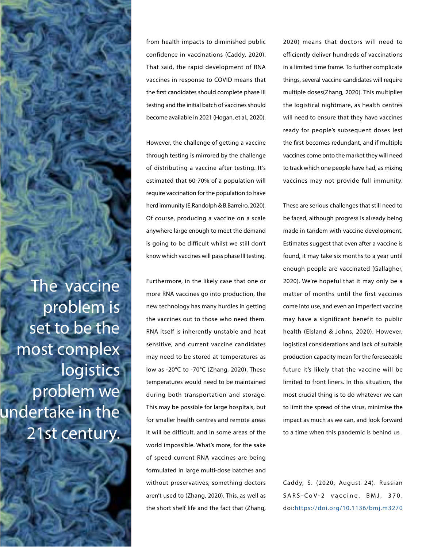The vaccine problem is set to be the most complex logistics problem we undertake in the 21st century.

from health impacts to diminished public confidence in vaccinations (Caddy, 2020). That said, the rapid development of RNA vaccines in response to COVID means that the first candidates should complete phase III testing and the initial batch of vaccines should become available in 2021 (Hogan, et al., 2020).

However, the challenge of getting a vaccine through testing is mirrored by the challenge of distributing a vaccine after testing. It's estimated that 60-70% of a population will require vaccination for the population to have herd immunity (E.Randolph & B.Barreiro, 2020). Of course, producing a vaccine on a scale anywhere large enough to meet the demand is going to be difficult whilst we still don't know which vaccines will pass phase III testing.

Furthermore, in the likely case that one or more RNA vaccines go into production, the new technology has many hurdles in getting the vaccines out to those who need them. RNA itself is inherently unstable and heat sensitive, and current vaccine candidates may need to be stored at temperatures as low as -20°C to -70°C (Zhang, 2020). These temperatures would need to be maintained during both transportation and storage. This may be possible for large hospitals, but for smaller health centres and remote areas it will be difficult, and in some areas of the world impossible. What's more, for the sake of speed current RNA vaccines are being formulated in large multi-dose batches and without preservatives, something doctors aren't used to (Zhang, 2020). This, as well as the short shelf life and the fact that (Zhang, 2020) means that doctors will need to efficiently deliver hundreds of vaccinations in a limited time frame. To further complicate things, several vaccine candidates will require multiple doses(Zhang, 2020). This multiplies the logistical nightmare, as health centres will need to ensure that they have vaccines ready for people's subsequent doses lest the first becomes redundant, and if multiple vaccines come onto the market they will need to track which one people have had, as mixing vaccines may not provide full immunity.

These are serious challenges that still need to be faced, although progress is already being made in tandem with vaccine development. Estimates suggest that even after a vaccine is found, it may take six months to a year until enough people are vaccinated (Gallagher, 2020). We're hopeful that it may only be a matter of months until the first vaccines come into use, and even an imperfect vaccine may have a significant benefit to public health (Elsland & Johns, 2020). However, logistical considerations and lack of suitable production capacity mean for the foreseeable future it's likely that the vaccine will be limited to front liners. In this situation, the most crucial thing is to do whatever we can to limit the spread of the virus, minimise the impact as much as we can, and look forward to a time when this pandemic is behind us .

Caddy, S. (2020, August 24). Russian SARS-CoV-2 vaccine. BMJ, 370. doi:<https://doi.org/10.1136/bmj.m3270>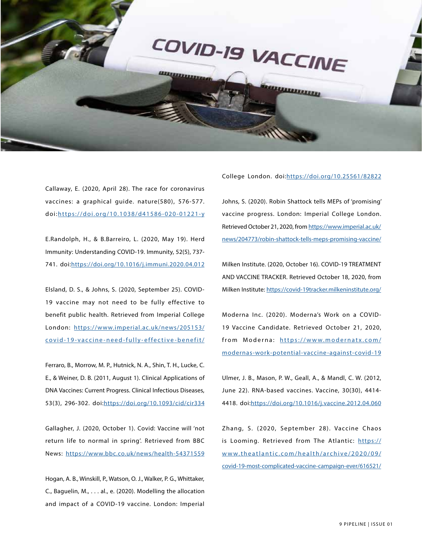

Callaway, E. (2020, April 28). The race for coronavirus vaccines: a graphical guide. nature(580), 576-577. doi:[https://doi.org/10.1038/d41586-020-01221-y](https://doi.org/10.1038/d41586-020-01221-y )

E.Randolph, H., & B.Barreiro, L. (2020, May 19). Herd Immunity: Understanding COVID-19. Immunity, 52(5), 737- 741. doi:[https://doi.org/10.1016/j.immuni.2020.04.012](https://doi.org/10.1016/j.immuni.2020.04.012 )

Elsland, D. S., & Johns, S. (2020, September 25). COVID-19 vaccine may not need to be fully effective to benefit public health. Retrieved from Imperial College London: [https://www.imperial.ac.uk/news/205153/](https://www.imperial.ac.uk/news/205153/covid-19-vaccine-need-fully-effective-benefit/ ) [covid-19-vaccine-need-fully-effective-benefit/](https://www.imperial.ac.uk/news/205153/covid-19-vaccine-need-fully-effective-benefit/ )

Ferraro, B., Morrow, M. P., Hutnick, N. A., Shin, T. H., Lucke, C. E., & Weiner, D. B. (2011, August 1). Clinical Applications of DNA Vaccines: Current Progress. Clinical Infectious Diseases, 53(3), 296-302. doi:[https://doi.org/10.1093/cid/cir334](https://doi.org/10.1093/cid/cir334 )

Gallagher, J. (2020, October 1). Covid: Vaccine will 'not return life to normal in spring'. Retrieved from BBC News: [https://www.bbc.co.uk/news/health-54371559](https://www.bbc.co.uk/news/health-54371559 )

Hogan, A. B., Winskill, P., Watson, O. J., Walker, P. G., Whittaker, C., Baguelin, M., . . . al., e. (2020). Modelling the allocation and impact of a COVID-19 vaccine. London: Imperial College London. doi:<https://doi.org/10.25561/82822>

Johns, S. (2020). Robin Shattock tells MEPs of 'promising' vaccine progress. London: Imperial College London. Retrieved October 21, 2020, from [https://www.imperial.ac.uk/](https://www.imperial.ac.uk/news/204773/robin-shattock-tells-meps-promising-vaccine/ ) [news/204773/robin-shattock-tells-meps-promising-vaccine/](https://www.imperial.ac.uk/news/204773/robin-shattock-tells-meps-promising-vaccine/ )

Milken Institute. (2020, October 16). COVID-19 TREATMENT AND VACCINE TRACKER. Retrieved October 18, 2020, from Milken Institute: [https://covid-19tracker.milkeninstitute.org/](https://covid-19tracker.milkeninstitute.org/ )

Moderna Inc. (2020). Moderna's Work on a COVID-19 Vaccine Candidate. Retrieved October 21, 2020, from Moderna: [https://www.modernatx.com/](https://www.modernatx.com/modernas-work-potential-vaccine-against-covid-19 ) [modernas-work-potential-vaccine-against-covid-19](https://www.modernatx.com/modernas-work-potential-vaccine-against-covid-19 )

Ulmer, J. B., Mason, P. W., Geall, A., & Mandl, C. W. (2012, June 22). RNA-based vaccines. Vaccine, 30(30), 4414- 4418. doi:[https://doi.org/10.1016/j.vaccine.2012.04.060](https://doi.org/10.1016/j.vaccine.2012.04.060  )

Zhang, S. (2020, September 28). Vaccine Chaos is Looming. Retrieved from The Atlantic: [https://](https://www.theatlantic.com/health/archive/2020/09/covid-19-most-complicated-vaccine-campaign-ever/6) [www.theatlantic.com/health/archive/2020/09/](https://www.theatlantic.com/health/archive/2020/09/covid-19-most-complicated-vaccine-campaign-ever/6) [covid-19-most-complicated-vaccine-campaign-ever/616521/](https://www.theatlantic.com/health/archive/2020/09/covid-19-most-complicated-vaccine-campaign-ever/6)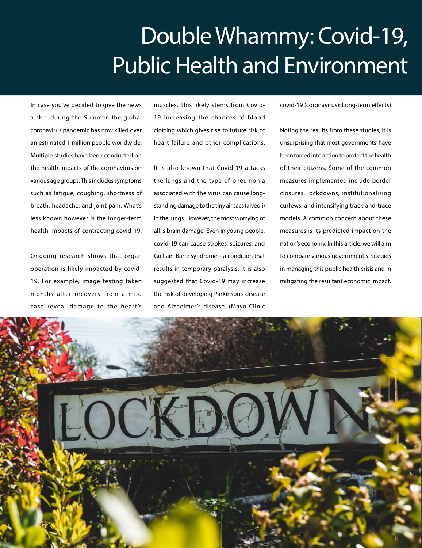# Double Whammy: Covid-19, Public Health and Environment

.

In case you've decided to give the news a skip during the Summer, the global coronavirus pandemic has now killed over an estimated 1 million people worldwide. Multiple studies have been conducted on the health impacts of the coronavirus on various age groups. This includes symptoms such as fatigue, coughing, shortness of breath, headache, and joint pain. What's less known however is the longer-term health impacts of contracting covid-19.

Ongoing research shows that organ operation is likely impacted by covid-19. For example, image testing taken months after recovery from a mild case reveal damage to the heart's

muscles. This likely stems from Covid-19 increasing the chances of blood clotting which gives rise to future risk of heart failure and other complications.

It is also known that Covid-19 attacks the lungs and the type of pneumonia associated with the virus can cause longstanding damage to the tiny air sacs (alveoli) in the lungs. However, the most worrying of all is brain damage. Even in young people, covid-19 can cause strokes, seizures, and Guillain-Barre syndrome – a condition that results in temporary paralysis. It is also suggested that Covid-19 may increase the risk of developing Parkinson's disease and Alzheimer's disease. (Mayo Clinic

covid-19 (coronavirus): Long-term effects)

Noting the results from these studies, it is unsurprising that most governments' have been forced into action to protect the health of their citizens. Some of the common measures implemented include border closures, lockdowns, institutionalising curfews, and intensifying track-and-trace models. A common concern about these measures is its predicted impact on the nation's economy. In this article, we will aim to compare various government strategies in managing this public health crisis and in mitigating the resultant economic impact.

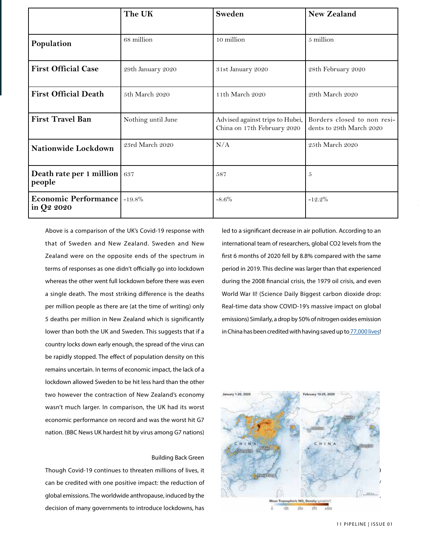|                                                    | The UK             | Sweden                                                         | <b>New Zealand</b>                                      |
|----------------------------------------------------|--------------------|----------------------------------------------------------------|---------------------------------------------------------|
|                                                    |                    |                                                                |                                                         |
| Population                                         | 68 million         | 10 million                                                     | 5 million                                               |
| <b>First Official Case</b>                         | 29th January 2020  | 31st January 2020                                              | 28th February 2020                                      |
| <b>First Official Death</b>                        | 5th March 2020     | 11th March 2020                                                | 29th March 2020                                         |
| <b>First Travel Ban</b>                            | Nothing until June | Advised against trips to Hubei,<br>China on 17th February 2020 | Borders closed to non resi-<br>dents to 29th March 2020 |
| Nationwide Lockdown                                | 23rd March 2020    | N/A                                                            | 25th March 2020                                         |
| Death rate per 1 million   637<br>people           |                    | 587                                                            | 5                                                       |
| <b>Economic Performance   -19.8%</b><br>in Q2 2020 |                    | $-8.6\%$                                                       | $-12.2%$                                                |

Above is a comparison of the UK's Covid-19 response with that of Sweden and New Zealand. Sweden and New Zealand were on the opposite ends of the spectrum in terms of responses as one didn't officially go into lockdown whereas the other went full lockdown before there was even a single death. The most striking difference is the deaths per million people as there are (at the time of writing) only 5 deaths per million in New Zealand which is significantly lower than both the UK and Sweden. This suggests that if a country locks down early enough, the spread of the virus can be rapidly stopped. The effect of population density on this remains uncertain. In terms of economic impact, the lack of a lockdown allowed Sweden to be hit less hard than the other two however the contraction of New Zealand's economy wasn't much larger. In comparison, the UK had its worst economic performance on record and was the worst hit G7 nation. (BBC News UK hardest hit by virus among G7 nations)

### Building Back Green

Though Covid-19 continues to threaten millions of lives, it can be credited with one positive impact: the reduction of global emissions. The worldwide anthropause, induced by the decision of many governments to introduce lockdowns, has led to a significant decrease in air pollution. According to an international team of researchers, global CO2 levels from the first 6 months of 2020 fell by 8.8% compared with the same period in 2019. This decline was larger than that experienced during the 2008 financial crisis, the 1979 oil crisis, and even World War II! (Science Daily Biggest carbon dioxide drop: Real-time data show COVID-19's massive impact on global emissions) Similarly, a drop by 50% of nitrogen oxides emission in China has been credited with having saved up to [77,000 lives!](https://www.forbes.com/sites/jeffmcmahon/2020/03/16/coronavirus-lockdown-may-have-saved-77000-lives-in-china-just-from-pollution-reduction/#2d159c9834fe)

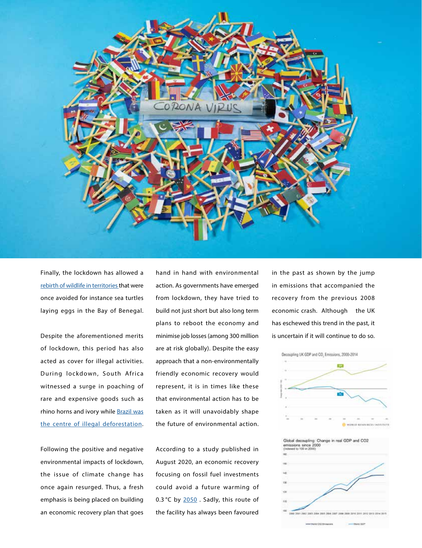

Finally, the lockdown has allowed a [rebirth of wildlife in territories t](https://thehill.com/changing-america/sustainability/environment/488286-italys-coronavirus-lockdown-shows-what-nature)hat were once avoided for instance sea turtles laying eggs in the Bay of Benegal.

Despite the aforementioned merits of lockdown, this period has also acted as cover for illegal activities. During lockdown, South Africa witnessed a surge in poaching of rare and expensive goods such as rhino horns and ivory while [Brazil was](https://abcnews.go.com/International/deforestation-amazon-rainforest-accelerates-amid-covid-19-pandemic/story?id=70526188) [the centre of illegal deforestation](https://abcnews.go.com/International/deforestation-amazon-rainforest-accelerates-amid-covid-19-pandemic/story?id=70526188).

Following the positive and negative environmental impacts of lockdown, the issue of climate change has once again resurged. Thus, a fresh emphasis is being placed on building an economic recovery plan that goes hand in hand with environmental action. As governments have emerged from lockdown, they have tried to build not just short but also long term plans to reboot the economy and minimise job losses (among 300 million are at risk globally). Despite the easy approach that a non-environmentally friendly economic recovery would represent, it is in times like these that environmental action has to be taken as it will unavoidably shape the future of environmental action.

According to a study published in August 2020, an economic recovery focusing on fossil fuel investments could avoid a future warming of 0.3 °C by [2050](https://www.nature.com/articles/s41558-020-0883-0). Sadly, this route of the facility has always been favoured

in the past as shown by the jump in emissions that accompanied the recovery from the previous 2008 economic crash. Although the UK has eschewed this trend in the past, it is uncertain if it will continue to do so.



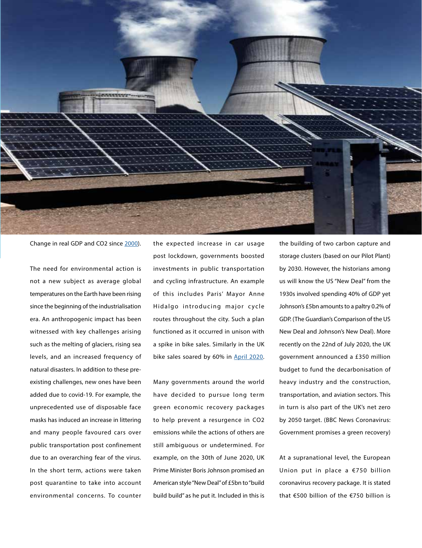

Change in real GDP and CO2 since [2000](https://citizensclimatelobby.org/can-grow-economy-reducing-emissions-research-says-yes/)).

The need for environmental action is not a new subject as average global temperatures on the Earth have been rising since the beginning of the industrialisation era. An anthropogenic impact has been witnessed with key challenges arising such as the melting of glaciers, rising sea levels, and an increased frequency of natural disasters. In addition to these preexisting challenges, new ones have been added due to covid-19. For example, the unprecedented use of disposable face masks has induced an increase in littering and many people favoured cars over public transportation post confinement due to an overarching fear of the virus. In the short term, actions were taken post quarantine to take into account environmental concerns. To counter

the expected increase in car usage post lockdown, governments boosted investments in public transportation and cycling infrastructure. An example of this includes Paris' Mayor Anne Hidalgo introducing major cycle routes throughout the city. Such a plan functioned as it occurred in unison with a spike in bike sales. Similarly in the UK bike sales soared by 60% in [April 2020](https://www.theguardian.com/business/2020/jun/26/bike-boom-uk-sales-up-60-per-cent-in-april-as-covid-19-changes-lifestyles).

Many governments around the world have decided to pursue long term green economic recovery packages to help prevent a resurgence in CO2 emissions while the actions of others are still ambiguous or undetermined. For example, on the 30th of June 2020, UK Prime Minister Boris Johnson promised an American style "New Deal" of £5bn to "build build build" as he put it. Included in this is

the building of two carbon capture and storage clusters (based on our Pilot Plant) by 2030. However, the historians among us will know the US "New Deal" from the 1930s involved spending 40% of GDP yet Johnson's £5bn amounts to a paltry 0.2% of GDP. (The Guardian's Comparison of the US New Deal and Johnson's New Deal). More recently on the 22nd of July 2020, the UK government announced a £350 million budget to fund the decarbonisation of heavy industry and the construction, transportation, and aviation sectors. This in turn is also part of the UK's net zero by 2050 target. (BBC News Coronavirus: Government promises a green recovery)

At a supranational level, the European Union put in place a €750 billion coronavirus recovery package. It is stated that €500 billion of the €750 billion is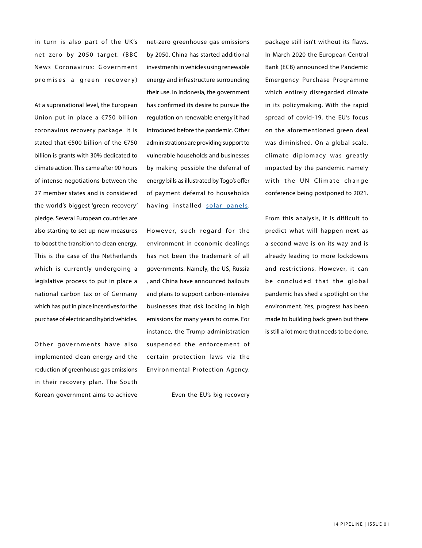in turn is also part of the UK's net zero by 2050 target. (BBC News Coronavirus: Government promises a green recovery)

At a supranational level, the European Union put in place a €750 billion coronavirus recovery package. It is stated that €500 billion of the €750 billion is grants with 30% dedicated to climate action. This came after 90 hours of intense negotiations between the 27 member states and is considered the world's biggest 'green recovery' pledge. Several European countries are also starting to set up new measures to boost the transition to clean energy. This is the case of the Netherlands which is currently undergoing a legislative process to put in place a national carbon tax or of Germany which has put in place incentives for the purchase of electric and hybrid vehicles.

Other governments have also implemented clean energy and the reduction of greenhouse gas emissions in their recovery plan. The South Korean government aims to achieve

net-zero greenhouse gas emissions by 2050. China has started additional investments in vehicles using renewable energy and infrastructure surrounding their use. In Indonesia, the government has confirmed its desire to pursue the regulation on renewable energy it had introduced before the pandemic. Other administrations are providing support to vulnerable households and businesses by making possible the deferral of energy bills as illustrated by Togo's offer of payment deferral to households having installed [solar panels.](https://www.iea.org/reports/sustainable-recovery/covid-19-and-energy-setting-the-scene)

However, such regard for the environment in economic dealings has not been the trademark of all governments. Namely, the US, Russia , and China have announced bailouts and plans to support carbon-intensive businesses that risk locking in high emissions for many years to come. For instance, the Trump administration suspended the enforcement of certain protection laws via the Environmental Protection Agency.

Even the EU's big recovery

package still isn't without its flaws. In March 2020 the European Central Bank (ECB) announced the Pandemic Emergency Purchase Programme which entirely disregarded climate in its policymaking. With the rapid spread of covid-19, the EU's focus on the aforementioned green deal was diminished. On a global scale, climate diplomacy was greatly impacted by the pandemic namely with the UN Climate change conference being postponed to 2021.

From this analysis, it is difficult to predict what will happen next as a second wave is on its way and is already leading to more lockdowns and restrictions. However, it can be concluded that the global pandemic has shed a spotlight on the environment. Yes, progress has been made to building back green but there is still a lot more that needs to be done.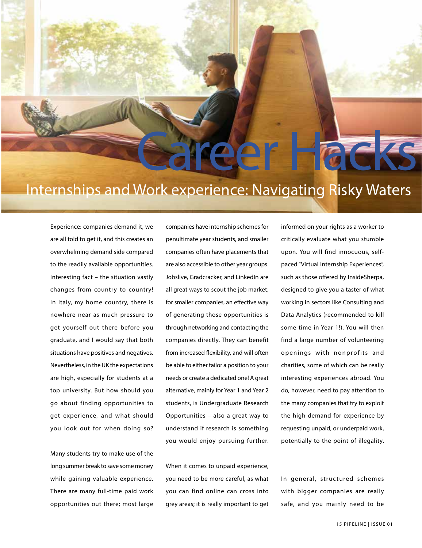# Internships and Work experience: Navigating Risky Waters

Experience: companies demand it, we are all told to get it, and this creates an overwhelming demand side compared to the readily available opportunities. Interesting fact – the situation vastly changes from country to country! In Italy, my home country, there is nowhere near as much pressure to get yourself out there before you graduate, and I would say that both situations have positives and negatives. Nevertheless, in the UK the expectations are high, especially for students at a top university. But how should you go about finding opportunities to get experience, and what should you look out for when doing so?

Many students try to make use of the long summer break to save some money while gaining valuable experience. There are many full-time paid work opportunities out there; most large

companies have internship schemes for penultimate year students, and smaller companies often have placements that are also accessible to other year groups. Jobslive, Gradcracker, and LinkedIn are all great ways to scout the job market; for smaller companies, an effective way of generating those opportunities is through networking and contacting the companies directly. They can benefit from increased flexibility, and will often be able to either tailor a position to your needs or create a dedicated one! A great alternative, mainly for Year 1 and Year 2 students, is Undergraduate Research Opportunities – also a great way to understand if research is something you would enjoy pursuing further.

When it comes to unpaid experience, you need to be more careful, as what you can find online can cross into grey areas; it is really important to get informed on your rights as a worker to critically evaluate what you stumble upon. You will find innocuous, selfpaced "Virtual Internship Experiences", such as those offered by InsideSherpa, designed to give you a taster of what working in sectors like Consulting and Data Analytics (recommended to kill some time in Year 1!). You will then find a large number of volunteering openings with nonprofits and charities, some of which can be really interesting experiences abroad. You do, however, need to pay attention to the many companies that try to exploit the high demand for experience by requesting unpaid, or underpaid work, potentially to the point of illegality.

Career Hacks

In general, structured schemes with bigger companies are really safe, and you mainly need to be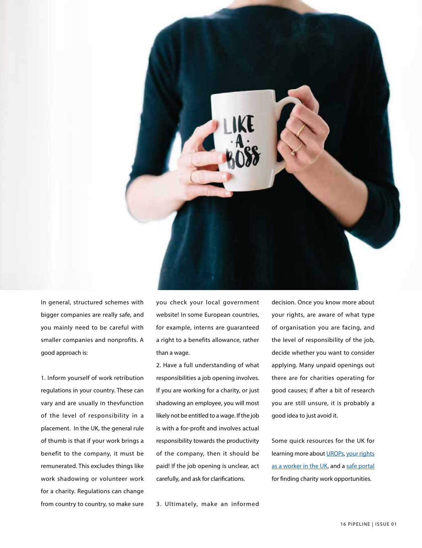

In general, structured schemes with bigger companies are really safe, and you mainly need to be careful with smaller companies and nonprofits. A good approach is:

1. Inform yourself of work retribution regulations in your country. These can vary and are usually in thevfunction of the level of responsibility in a placement. In the UK, the general rule of thumb is that if your work brings a benefit to the company, it must be remunerated. This excludes things like work shadowing or volunteer work for a charity. Regulations can change from country to country, so make sure you check your local government website! In some European countries, for example, interns are guaranteed a right to a benefits allowance, rather than a wage.

2. Have a full understanding of what responsibilities a job opening involves. If you are working for a charity, or just shadowing an employee, you will most likely not be entitled to a wage. If the job is with a for-profit and involves actual responsibility towards the productivity of the company, then it should be paid! If the job opening is unclear, act carefully, and ask for clarifications.

3. Ultimately, make an informed

decision. Once you know more about your rights, are aware of what type of organisation you are facing, and the level of responsibility of the job, decide whether you want to consider applying. Many unpaid openings out there are for charities operating for good causes; if after a bit of research you are still unsure, it is probably a good idea to just avoid it.

Some quick resources for the UK for learning more about [UROPs,](https://www.imperial.ac.uk/urop) your rights [as a worker in the UK](https://www.gov.uk/employment-rights-for-interns), and a safe portal for finding charity work opportunities.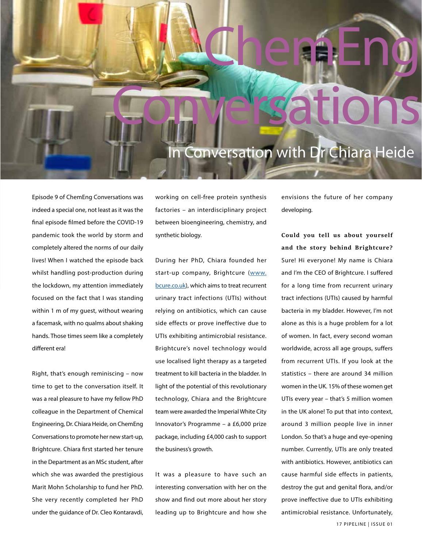### In Conversation with Dr Chiara Heide

Conversations

Chemi-ng

Episode 9 of ChemEng Conversations was indeed a special one, not least as it was the final episode filmed before the COVID-19 pandemic took the world by storm and completely altered the norms of our daily lives! When I watched the episode back whilst handling post-production during the lockdown, my attention immediately focused on the fact that I was standing within 1 m of my guest, without wearing a facemask, with no qualms about shaking hands. Those times seem like a completely different era!

Right, that's enough reminiscing – now time to get to the conversation itself. It was a real pleasure to have my fellow PhD colleague in the Department of Chemical Engineering, Dr. Chiara Heide, on ChemEng Conversations to promote her new start-up, Brightcure. Chiara first started her tenure in the Department as an MSc student, after which she was awarded the prestigious Marit Mohn Scholarship to fund her PhD. She very recently completed her PhD under the guidance of Dr. Cleo Kontaravdi,

working on cell-free protein synthesis factories – an interdisciplinary project between bioengineering, chemistry, and synthetic biology.

During her PhD, Chiara founded her start-up company, Brightcure ([www.](http://www.bcure.co.uk) [bcure.co.uk](http://www.bcure.co.uk)), which aims to treat recurrent urinary tract infections (UTIs) without relying on antibiotics, which can cause side effects or prove ineffective due to UTIs exhibiting antimicrobial resistance. Brightcure's novel technology would use localised light therapy as a targeted treatment to kill bacteria in the bladder. In light of the potential of this revolutionary technology, Chiara and the Brightcure team were awarded the Imperial White City Innovator's Programme – a £6,000 prize package, including £4,000 cash to support the business's growth.

It was a pleasure to have such an interesting conversation with her on the show and find out more about her story leading up to Brightcure and how she

envisions the future of her company developing.

**Could you tell us about yourself and the story behind Brightcure?** Sure! Hi everyone! My name is Chiara and I'm the CEO of Brightcure. I suffered for a long time from recurrent urinary tract infections (UTIs) caused by harmful bacteria in my bladder. However, I'm not alone as this is a huge problem for a lot of women. In fact, every second woman worldwide, across all age groups, suffers from recurrent UTIs. If you look at the statistics – there are around 34 million women in the UK. 15% of these women get UTIs every year – that's 5 million women in the UK alone! To put that into context, around 3 million people live in inner London. So that's a huge and eye-opening number. Currently, UTIs are only treated with antibiotics. However, antibiotics can cause harmful side effects in patients, destroy the gut and genital flora, and/or prove ineffective due to UTIs exhibiting antimicrobial resistance. Unfortunately,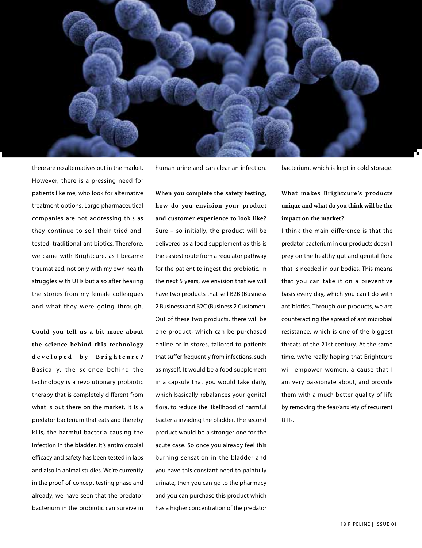![](_page_17_Picture_0.jpeg)

there are no alternatives out in the market. However, there is a pressing need for patients like me, who look for alternative treatment options. Large pharmaceutical companies are not addressing this as they continue to sell their tried-andtested, traditional antibiotics. Therefore, we came with Brightcure, as I became traumatized, not only with my own health struggles with UTIs but also after hearing the stories from my female colleagues and what they were going through.

**Could you tell us a bit more about the science behind this technology developed by Brightcure?** Basically, the science behind the technology is a revolutionary probiotic therapy that is completely different from what is out there on the market. It is a predator bacterium that eats and thereby kills, the harmful bacteria causing the infection in the bladder. It's antimicrobial efficacy and safety has been tested in labs and also in animal studies. We're currently in the proof-of-concept testing phase and already, we have seen that the predator bacterium in the probiotic can survive in human urine and can clear an infection.

**When you complete the safety testing, how do you envision your product and customer experience to look like?** Sure – so initially, the product will be delivered as a food supplement as this is the easiest route from a regulator pathway for the patient to ingest the probiotic. In the next 5 years, we envision that we will have two products that sell B2B (Business 2 Business) and B2C (Business 2 Customer). Out of these two products, there will be one product, which can be purchased online or in stores, tailored to patients that suffer frequently from infections, such as myself. It would be a food supplement in a capsule that you would take daily, which basically rebalances your genital flora, to reduce the likelihood of harmful bacteria invading the bladder. The second product would be a stronger one for the acute case. So once you already feel this burning sensation in the bladder and you have this constant need to painfully urinate, then you can go to the pharmacy and you can purchase this product which has a higher concentration of the predator

bacterium, which is kept in cold storage.

### **What makes Brightcure's products unique and what do you think will be the impact on the market?**

I think the main difference is that the predator bacterium in our products doesn't prey on the healthy gut and genital flora that is needed in our bodies. This means that you can take it on a preventive basis every day, which you can't do with antibiotics. Through our products, we are counteracting the spread of antimicrobial resistance, which is one of the biggest threats of the 21st century. At the same time, we're really hoping that Brightcure will empower women, a cause that I am very passionate about, and provide them with a much better quality of life by removing the fear/anxiety of recurrent UTIs.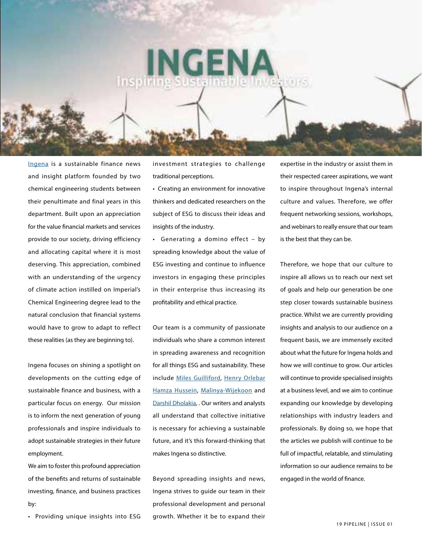# NGEN

[Ingena](https://ingena.co.uk) is a sustainable finance news and insight platform founded by two chemical engineering students between their penultimate and final years in this department. Built upon an appreciation for the value financial markets and services provide to our society, driving efficiency and allocating capital where it is most deserving. This appreciation, combined with an understanding of the urgency of climate action instilled on Imperial's Chemical Engineering degree lead to the natural conclusion that financial systems would have to grow to adapt to reflect these realities (as they are beginning to).

Ingena focuses on shining a spotlight on developments on the cutting edge of sustainable finance and business, with a particular focus on energy. Our mission is to inform the next generation of young professionals and inspire individuals to adopt sustainable strategies in their future employment.

We aim to foster this profound appreciation of the benefits and returns of sustainable investing, finance, and business practices by:

• Providing unique insights into ESG

investment strategies to challenge traditional perceptions.

• Creating an environment for innovative thinkers and dedicated researchers on the subject of ESG to discuss their ideas and insights of the industry.

• Generating a domino effect – by spreading knowledge about the value of ESG investing and continue to influence investors in engaging these principles in their enterprise thus increasing its profitability and ethical practice.

Our team is a community of passionate individuals who share a common interest in spreading awareness and recognition for all things ESG and sustainability. These include [Miles Guilliford](https://www.linkedin.com/in/miles-js-gulliford/), [Henry Orlebar](https://www.linkedin.com/in/henry-orlebar/) [Hamza Hussein,](https://www.linkedin.com/in/hamza-hussain-35332814a/) [Malinya-Wijekoon](https://www.linkedin.com/in/malinya-wijekoon-86abb317b/) and [Darshil Dholakia](https://www.linkedin.com/in/darshildholakia/), . Our writers and analysts all understand that collective initiative is necessary for achieving a sustainable future, and it's this forward-thinking that makes Ingena so distinctive.

Beyond spreading insights and news, Ingena strives to guide our team in their professional development and personal growth. Whether it be to expand their

expertise in the industry or assist them in their respected career aspirations, we want to inspire throughout Ingena's internal culture and values. Therefore, we offer frequent networking sessions, workshops, and webinars to really ensure that our team is the best that they can be.

Therefore, we hope that our culture to inspire all allows us to reach our next set of goals and help our generation be one step closer towards sustainable business practice. Whilst we are currently providing insights and analysis to our audience on a frequent basis, we are immensely excited about what the future for Ingena holds and how we will continue to grow. Our articles will continue to provide specialised insights at a business level, and we aim to continue expanding our knowledge by developing relationships with industry leaders and professionals. By doing so, we hope that the articles we publish will continue to be full of impactful, relatable, and stimulating information so our audience remains to be engaged in the world of finance.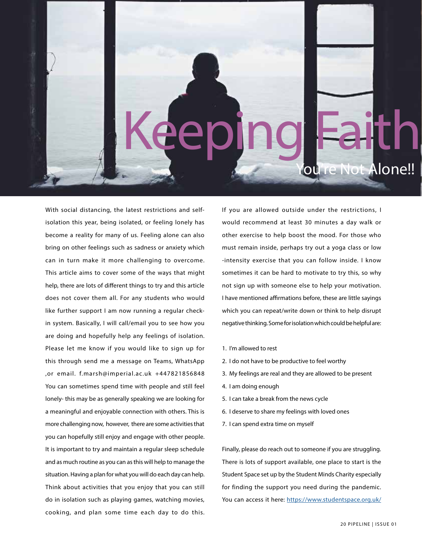![](_page_19_Picture_0.jpeg)

With social distancing, the latest restrictions and selfisolation this year, being isolated, or feeling lonely has become a reality for many of us. Feeling alone can also bring on other feelings such as sadness or anxiety which can in turn make it more challenging to overcome. This article aims to cover some of the ways that might help, there are lots of different things to try and this article does not cover them all. For any students who would like further support I am now running a regular checkin system. Basically, I will call/email you to see how you are doing and hopefully help any feelings of isolation. Please let me know if you would like to sign up for this through send me a message on Teams, WhatsApp ,or email. f.marsh@imperial.ac.uk +447821856848 You can sometimes spend time with people and still feel lonely- this may be as generally speaking we are looking for a meaningful and enjoyable connection with others. This is more challenging now, however, there are some activities that you can hopefully still enjoy and engage with other people. It is important to try and maintain a regular sleep schedule and as much routine as you can as this will help to manage the situation. Having a plan for what you will do each day can help. Think about activities that you enjoy that you can still do in isolation such as playing games, watching movies, cooking, and plan some time each day to do this.

If you are allowed outside under the restrictions, I would recommend at least 30 minutes a day walk or other exercise to help boost the mood. For those who must remain inside, perhaps try out a yoga class or low -intensity exercise that you can follow inside. I know sometimes it can be hard to motivate to try this, so why not sign up with someone else to help your motivation. I have mentioned affirmations before, these are little sayings which you can repeat/write down or think to help disrupt negative thinking. Some for isolation which could be helpful are:

- 1. I'm allowed to rest
- 2. I do not have to be productive to feel worthy
- 3. My feelings are real and they are allowed to be present
- 4. I am doing enough
- 5. I can take a break from the news cycle
- 6. I deserve to share my feelings with loved ones
- 7. I can spend extra time on myself

Finally, please do reach out to someone if you are struggling. There is lots of support available, one place to start is the Student Space set up by the Student Minds Charity especially for finding the support you need during the pandemic. You can access it here: <https://www.studentspace.org.uk/>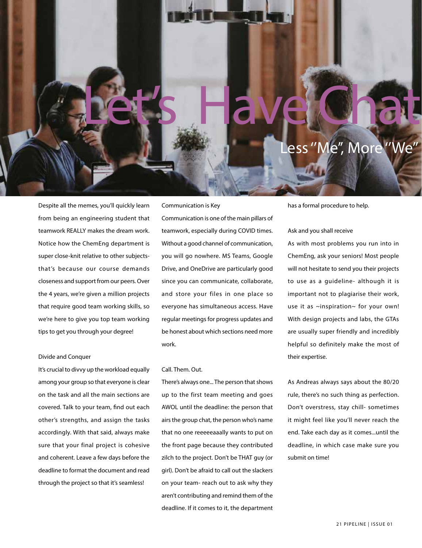### ess "Me", More

Despite all the memes, you'll quickly learn from being an engineering student that teamwork REALLY makes the dream work. Notice how the ChemEng department is super close-knit relative to other subjectsthat's because our course demands closeness and support from our peers. Over the 4 years, we're given a million projects that require good team working skills, so we're here to give you top team working tips to get you through your degree!

### Communication is Key

Communication is one of the main pillars of teamwork, especially during COVID times. Without a good channel of communication, you will go nowhere. MS Teams, Google Drive, and OneDrive are particularly good since you can communicate, collaborate, and store your files in one place so everyone has simultaneous access. Have regular meetings for progress updates and be honest about which sections need more work.

Let's Have Chat

#### Call. Them. Out.

There's always one... The person that shows up to the first team meeting and goes AWOL until the deadline: the person that airs the group chat, the person who's name that no one reeeeeaaally wants to put on the front page because they contributed zilch to the project. Don't be THAT guy (or girl). Don't be afraid to call out the slackers on your team- reach out to ask why they aren't contributing and remind them of the deadline. If it comes to it, the department

has a formal procedure to help.

#### Ask and you shall receive

As with most problems you run into in ChemEng, ask your seniors! Most people will not hesitate to send you their projects to use as a guideline- although it is important not to plagiarise their work, use it as ~inspiration~ for your own! With design projects and labs, the GTAs are usually super friendly and incredibly helpful so definitely make the most of their expertise.

As Andreas always says about the 80/20 rule, there's no such thing as perfection. Don't overstress, stay chill- sometimes it might feel like you'll never reach the end. Take each day as it comes...until the deadline, in which case make sure you submit on time!

#### Divide and Conquer

It's crucial to divvy up the workload equally among your group so that everyone is clear on the task and all the main sections are covered. Talk to your team, find out each other's strengths, and assign the tasks accordingly. With that said, always make sure that your final project is cohesive and coherent. Leave a few days before the deadline to format the document and read through the project so that it's seamless!